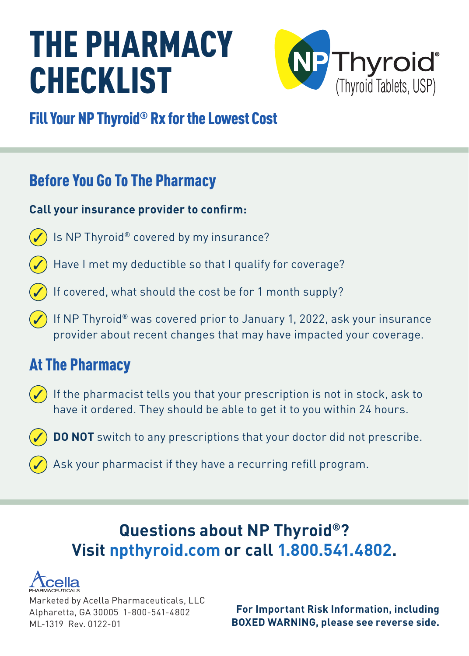# THE PHARMACY **CHECKLIST**



## Fill Your NP Thyroid® Rx for the Lowest Cost

## Before You Go To The Pharmacy

#### **Call your insurance provider to confirm:**

- Is NP Thyroid® covered by my insurance?
- Have I met my deductible so that I qualify for coverage?
- If covered, what should the cost be for 1 month supply?
- If NP Thyroid® was covered prior to January 1, 2022, ask your insurance provider about recent changes that may have impacted your coverage.

## At The Pharmacy

- $\left(\rule{0.3cm}{1.4cm}\right)$  If the pharmacist tells you that your prescription is not in stock, ask to have it ordered. They should be able to get it to you within 24 hours.
	- **DO NOT** switch to any prescriptions that your doctor did not prescribe.
	- Ask your pharmacist if they have a recurring refill program.

## **Questions about NP Thyroid®? Visit npthyroid.com or call 1.800.541.4802.**



Marketed by Acella Pharmaceuticals, LLC Alpharetta, GA 30005 1-800-541-4802 ML-1319 Rev. 0122-01

**For Important Risk Information, including BOXED WARNING, please see reverse side.**